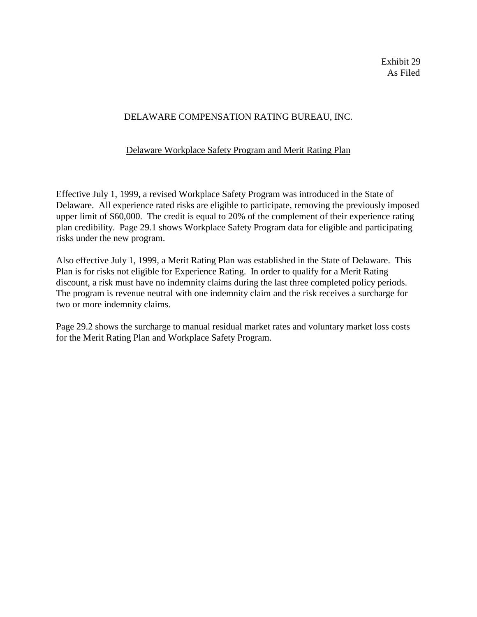Exhibit 29 As Filed

# DELAWARE COMPENSATION RATING BUREAU, INC.

# Delaware Workplace Safety Program and Merit Rating Plan

Effective July 1, 1999, a revised Workplace Safety Program was introduced in the State of Delaware. All experience rated risks are eligible to participate, removing the previously imposed upper limit of \$60,000. The credit is equal to 20% of the complement of their experience rating plan credibility. Page 29.1 shows Workplace Safety Program data for eligible and participating risks under the new program.

Also effective July 1, 1999, a Merit Rating Plan was established in the State of Delaware. This Plan is for risks not eligible for Experience Rating. In order to qualify for a Merit Rating discount, a risk must have no indemnity claims during the last three completed policy periods. The program is revenue neutral with one indemnity claim and the risk receives a surcharge for two or more indemnity claims.

Page 29.2 shows the surcharge to manual residual market rates and voluntary market loss costs for the Merit Rating Plan and Workplace Safety Program.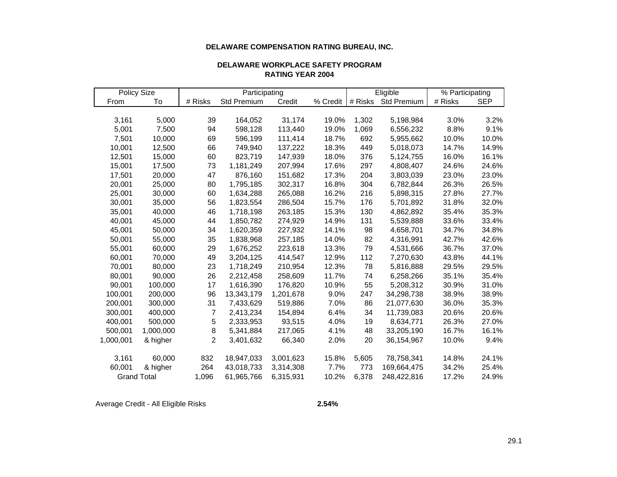#### **DELAWARE COMPENSATION RATING BUREAU, INC.**

| DELAWARE WORKPLACE SAFETY PROGRAM |
|-----------------------------------|
| <b>RATING YEAR 2004</b>           |

| <b>Policy Size</b> |           | Participating  |                    |           |          | Eligible |                    | % Participating |            |
|--------------------|-----------|----------------|--------------------|-----------|----------|----------|--------------------|-----------------|------------|
| From               | To        | # Risks        | <b>Std Premium</b> | Credit    | % Credit | # Risks  | <b>Std Premium</b> | # Risks         | <b>SEP</b> |
|                    |           |                |                    |           |          |          |                    |                 |            |
| 3,161              | 5,000     | 39             | 164,052            | 31,174    | 19.0%    | 1,302    | 5,198,984          | 3.0%            | 3.2%       |
| 5,001              | 7,500     | 94             | 598,128            | 113,440   | 19.0%    | 1,069    | 6,556,232          | 8.8%            | 9.1%       |
| 7,501              | 10,000    | 69             | 596,199            | 111,414   | 18.7%    | 692      | 5,955,662          | 10.0%           | 10.0%      |
| 10,001             | 12,500    | 66             | 749,940            | 137,222   | 18.3%    | 449      | 5,018,073          | 14.7%           | 14.9%      |
| 12,501             | 15,000    | 60             | 823,719            | 147,939   | 18.0%    | 376      | 5,124,755          | 16.0%           | 16.1%      |
| 15,001             | 17,500    | 73             | 1,181,249          | 207,994   | 17.6%    | 297      | 4,808,407          | 24.6%           | 24.6%      |
| 17,501             | 20,000    | 47             | 876,160            | 151,682   | 17.3%    | 204      | 3,803,039          | 23.0%           | 23.0%      |
| 20,001             | 25,000    | 80             | 1,795,185          | 302,317   | 16.8%    | 304      | 6,782,844          | 26.3%           | 26.5%      |
| 25,001             | 30,000    | 60             | 1,634,288          | 265,088   | 16.2%    | 216      | 5,898,315          | 27.8%           | 27.7%      |
| 30,001             | 35,000    | 56             | 1,823,554          | 286,504   | 15.7%    | 176      | 5,701,892          | 31.8%           | 32.0%      |
| 35,001             | 40,000    | 46             | 1,718,198          | 263,185   | 15.3%    | 130      | 4,862,892          | 35.4%           | 35.3%      |
| 40,001             | 45,000    | 44             | 1,850,782          | 274,929   | 14.9%    | 131      | 5,539,888          | 33.6%           | 33.4%      |
| 45,001             | 50,000    | 34             | 1,620,359          | 227,932   | 14.1%    | 98       | 4,658,701          | 34.7%           | 34.8%      |
| 50,001             | 55,000    | 35             | 1,838,968          | 257,185   | 14.0%    | 82       | 4,316,991          | 42.7%           | 42.6%      |
| 55,001             | 60,000    | 29             | 1,676,252          | 223,618   | 13.3%    | 79       | 4,531,666          | 36.7%           | 37.0%      |
| 60,001             | 70,000    | 49             | 3,204,125          | 414,547   | 12.9%    | 112      | 7,270,630          | 43.8%           | 44.1%      |
| 70,001             | 80,000    | 23             | 1,718,249          | 210,954   | 12.3%    | 78       | 5,816,888          | 29.5%           | 29.5%      |
| 80,001             | 90,000    | 26             | 2,212,458          | 258,609   | 11.7%    | 74       | 6,258,266          | 35.1%           | 35.4%      |
| 90,001             | 100,000   | 17             | 1,616,390          | 176,820   | 10.9%    | 55       | 5,208,312          | 30.9%           | 31.0%      |
| 100,001            | 200,000   | 96             | 13,343,179         | 1,201,678 | 9.0%     | 247      | 34,298,738         | 38.9%           | 38.9%      |
| 200,001            | 300,000   | 31             | 7,433,629          | 519,886   | 7.0%     | 86       | 21,077,630         | 36.0%           | 35.3%      |
| 300,001            | 400,000   | $\overline{7}$ | 2,413,234          | 154,894   | 6.4%     | 34       | 11,739,083         | 20.6%           | 20.6%      |
| 400,001            | 500,000   | 5              | 2,333,953          | 93,515    | 4.0%     | 19       | 8,634,771          | 26.3%           | 27.0%      |
| 500,001            | 1,000,000 | $\bf 8$        | 5,341,884          | 217,065   | 4.1%     | 48       | 33,205,190         | 16.7%           | 16.1%      |
| 1,000,001          | & higher  | $\overline{2}$ | 3,401,632          | 66,340    | 2.0%     | 20       | 36,154,967         | 10.0%           | 9.4%       |
|                    |           |                |                    |           |          |          |                    |                 |            |
| 3,161              | 60,000    | 832            | 18,947,033         | 3,001,623 | 15.8%    | 5,605    | 78,758,341         | 14.8%           | 24.1%      |
| 60,001             | & higher  | 264            | 43,018,733         | 3,314,308 | 7.7%     | 773      | 169,664,475        | 34.2%           | 25.4%      |
| <b>Grand Total</b> |           | 1,096          | 61,965,766         | 6,315,931 | 10.2%    | 6,378    | 248,422,816        | 17.2%           | 24.9%      |

Average Credit - All Eligible Risks **2.54%**